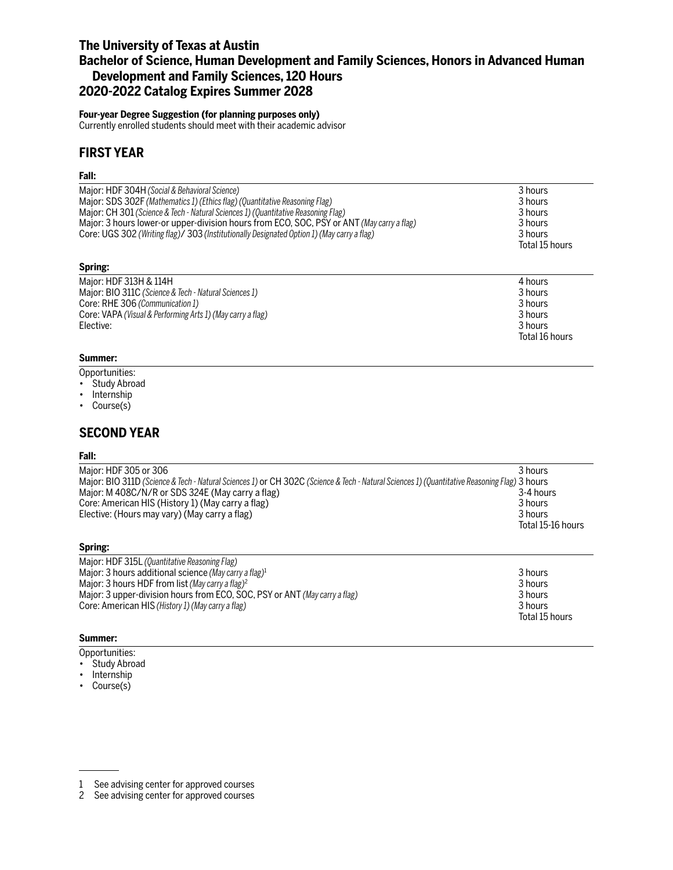# **The University of Texas at Austin Bachelor of Science, Human Development and Family Sciences, Honors in Advanced Human Development and Family Sciences, 120 Hours 2020-2022 Catalog Expires Summer 2028**

### **Four-year Degree Suggestion (for planning purposes only)**

Currently enrolled students should meet with their academic advisor

## **FIRST YEAR**

### **Fall:**

| Major: HDF 304H (Social & Behavioral Science)                                              | 3 hours        |
|--------------------------------------------------------------------------------------------|----------------|
| Major: SDS 302F (Mathematics 1) (Ethics flag) (Quantitative Reasoning Flag)                | 3 hours        |
| Major: CH 301 (Science & Tech - Natural Sciences 1) (Quantitative Reasoning Flag)          | 3 hours        |
| Major: 3 hours lower-or upper-division hours from ECO, SOC, PSY or ANT (May carry a flag)  | 3 hours        |
| Core: UGS 302 (Writing flag)/ 303 (Institutionally Designated Option 1) (May carry a flag) | 3 hours        |
|                                                                                            | Total 15 hours |

### **Spring:**

| Major: HDF 313H & 114H                                     | 4 hours        |
|------------------------------------------------------------|----------------|
| Major: BIO 311C (Science & Tech - Natural Sciences 1)      | 3 hours        |
| Core: RHE 306 (Communication 1)                            | 3 hours        |
| Core: VAPA (Visual & Performing Arts 1) (May carry a flag) | 3 hours        |
| Elective:                                                  | 3 hours        |
|                                                            | Total 16 hours |

### **Summer:**

Opportunities:

- Study Abroad
- Internship
- Course(s)

### **SECOND YEAR**

#### **Fall:**

| Major: HDF 305 or 306                                                                                                                        | 3 hours           |
|----------------------------------------------------------------------------------------------------------------------------------------------|-------------------|
| Major: BIO 311D (Science & Tech - Natural Sciences 1) or CH 302C (Science & Tech - Natural Sciences 1) (Quantitative Reasoning Flag) 3 hours |                   |
| Major: M 408C/N/R or SDS 324E (May carry a flag)                                                                                             | 3-4 hours         |
| Core: American HIS (History 1) (May carry a flag)                                                                                            | 3 hours           |
| Elective: (Hours may vary) (May carry a flag)                                                                                                | 3 hours           |
|                                                                                                                                              | Total 15-16 hours |
| Spring:                                                                                                                                      |                   |
| Major: HDF 315L (Quantitative Reasoning Flag)                                                                                                |                   |
| Maior: 3 hours additional science (May carry a flag) <sup>1</sup>                                                                            | 3 hours           |

| <b>JILULIS</b> |
|----------------|
| 3 hours        |
| 3 hours        |
| 3 hours        |
| Total 15 hours |
|                |

#### **Summer:**

Opportunities:

- Study Abroad
- Internship
- Course(s)

<sup>1</sup> See advising center for approved courses

<sup>2</sup> See advising center for approved courses